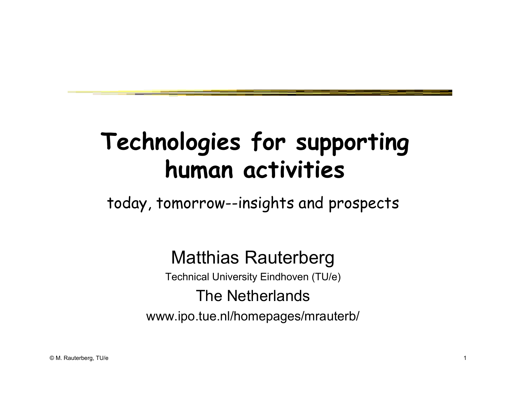# **Technologies for supporting human activities**

today, tomorrow--insights and prospects

#### Matthias Rauterberg

Technical University Eindhoven (TU/e)

#### The Netherlands

www.ipo.tue.nl/homepages/mrauterb/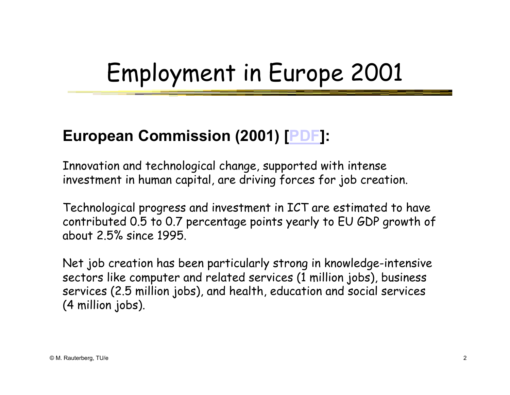# Employment in Europe 2001

#### **European Commission (2001) [PDF]:**

Innovation and technological change, supported with intense investment in human capital, are driving forces for job creation.

Technological progress and investment in ICT are estimated to have contributed 0.5 to 0.7 percentage points yearly to EU GDP growth of about 2.5% since 1995.

Net job creation has been particularly strong in knowledge-intensive sectors like computer and related services (1 million jobs), business services (2.5 million jobs), and health, education and social services (4 million jobs).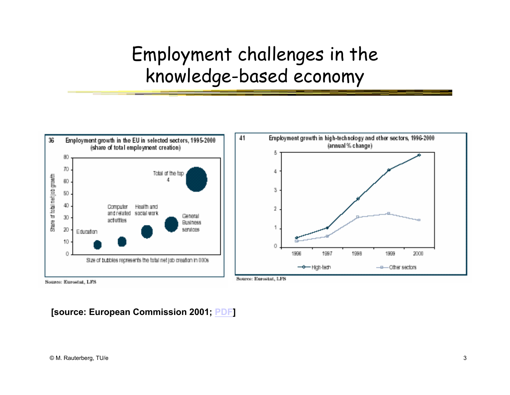#### Employment challenges in the knowledge-based economy



**[source: European Commission 2001; PDF]**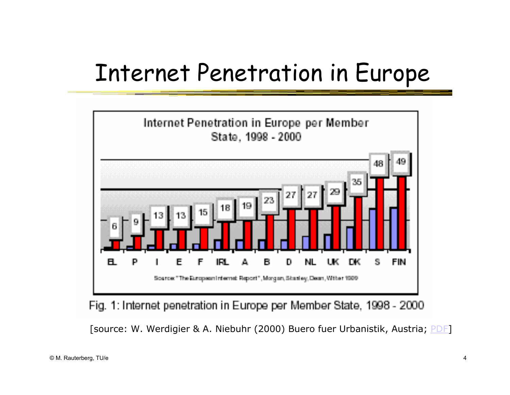### Internet Penetration in Europe



Fig. 1: Internet penetration in Europe per Member State, 1998 - 2000

[source: W. Werdigier & A. Niebuhr (2000) Buero fuer Urbanistik, Austria; PDF]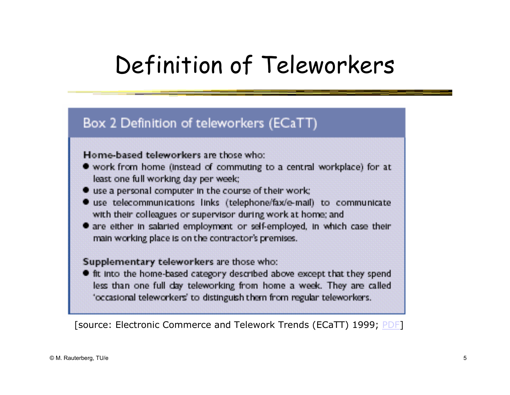# Definition of Teleworkers

#### Box 2 Definition of teleworkers (ECaTT)

#### Home-based teleworkers are those who:

- work from home (instead of commuting to a central workplace) for at least one full working day per week;
- use a personal computer in the course of their work;
- use telecommunications links (telephone/fax/e-mail) to communicate with their colleagues or supervisor during work at home; and
- are either in salaried employment or self-employed, in which case their main working place is on the contractor's premises.

#### Supplementary teleworkers are those who:

If the the home-based category described above except that they spend less than one full day teleworking from home a week. They are called 'occasional teleworkers' to distinguish them from regular teleworkers.

[source: Electronic Commerce and Telework Trends (ECaTT) 1999; PDF]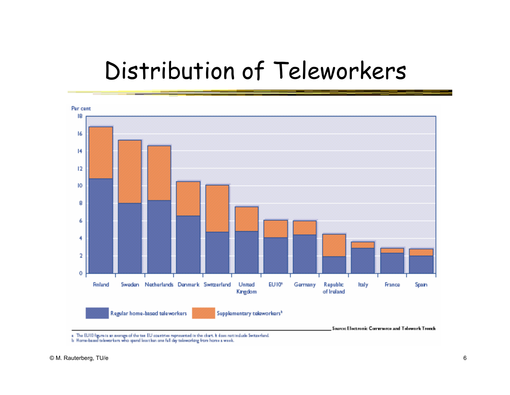## Distribution of Teleworkers



is Home-based taleworkers who spend less than one full day taleworking from home a week.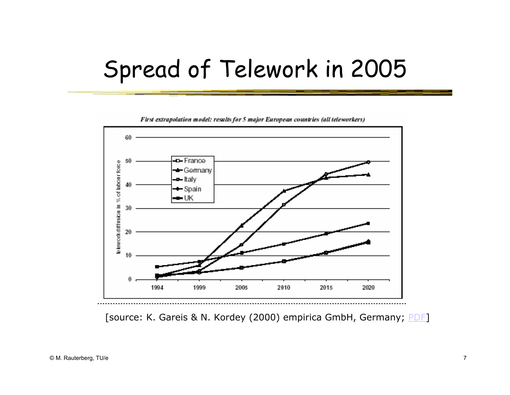## Spread of Telework in 2005



First extrapolation model: results for 5 major European countries (all teleworkers)

[source: K. Gareis & N. Kordey (2000) empirica GmbH, Germany; PDF]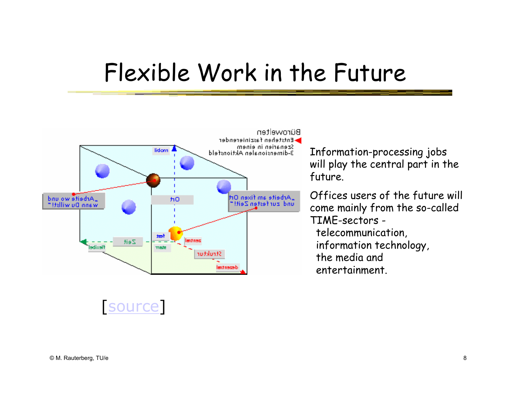## Flexible Work in the Future



Information-processing jobs will play the central part in the future.

Offices users of the future will come mainly from the so-called TIME-sectors telecommunication, information technology, the media and entertainment.

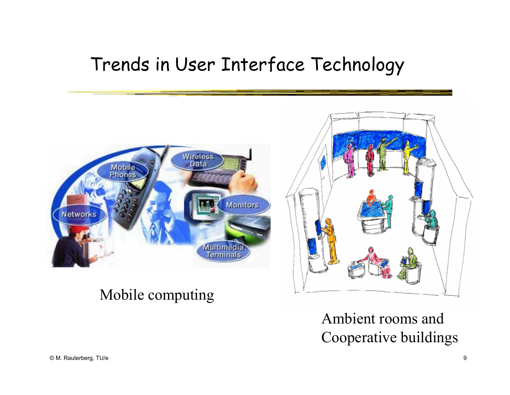#### Trends in User Interface Technology



#### Mobile computing

Ambient rooms and Cooperative buildings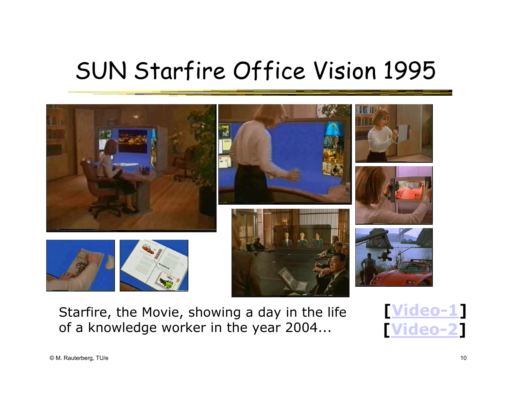## SUN Starfire Office Vision 1995



Starfire, the Movie, showing a day in the life of a knowledge worker in the year 2004...

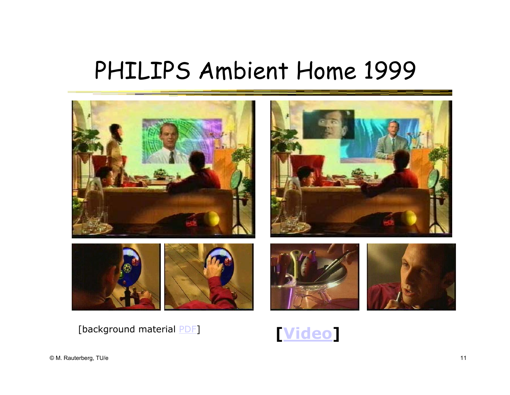## PHILIPS Ambient Home 1999



[background material **PDF] Wideo** 

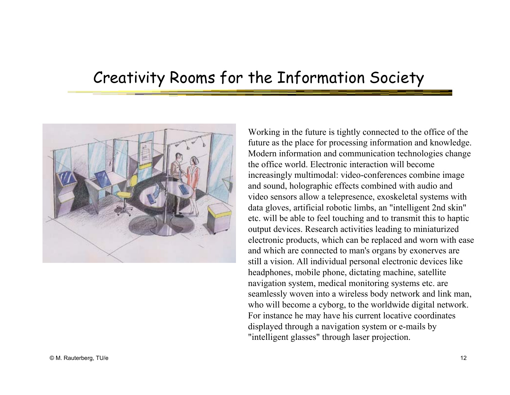#### Creativity Rooms for the Information Society



Working in the future is tightly connected to the office of the future as the place for processing information and knowledge. Modern information and communication technologies change the office world. Electronic interaction will become increasingly multimodal: video-conferences combine image and sound, holographic effects combined with audio and video sensors allow a telepresence, exoskeletal systems with data gloves, artificial robotic limbs, an "intelligent 2nd skin" etc. will be able to feel touching and to transmit this to haptic output devices. Research activities leading to miniaturized electronic products, which can be replaced and worn with ease and which are connected to man's organs by exonerves are still a vision. All individual personal electronic devices like headphones, mobile phone, dictating machine, satellite navigation system, medical monitoring systems etc. are seamlessly woven into a wireless body network and link man, who will become a cyborg, to the worldwide digital network. For instance he may have his current locative coordinates displayed through a navigation system or e-mails by "intelligent glasses" through laser projection.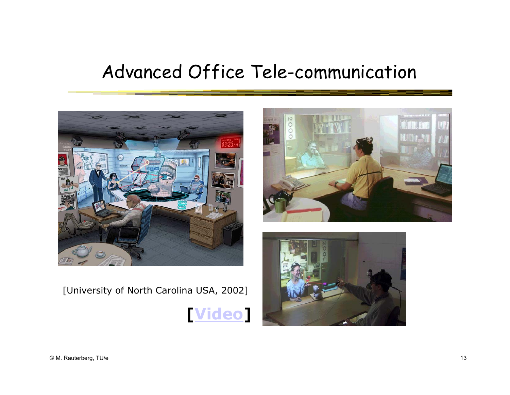#### Advanced Office Tele-communication



[University of North Carolina USA, 2002]





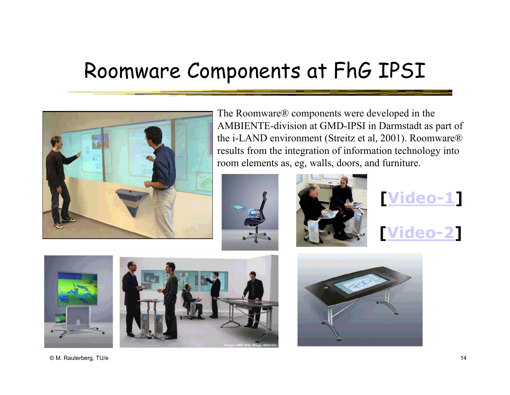### Roomware Components at FhG IPSI



The Roomware® components were developed in the AMBIENTE-division at GMD-IPSI in Darmstadt as part of the i-LAND environment (Streitz et al, 2001). Roomware® results from the integration of information technology into room elements as, eg, walls, doors, and furniture.















© M. Rauterberg, TU/e 14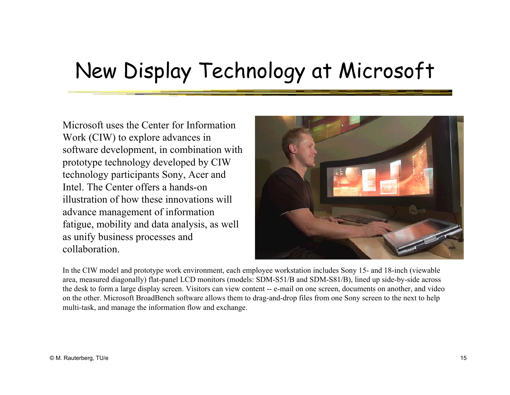#### New Display Technology at Microsoft

Microsoft uses the Center for Information Work (CIW) to explore advances in software development, in combination with prototype technology developed by CIW technology participants Sony, Acer and Intel. The Center offers a hands-on illustration of how these innovations will advance management of information fatigue, mobility and data analysis, as well as unify business processes and collaboration.



In the CIW model and prototype work environment, each employee workstation includes Sony 15- and 18-inch (viewable area, measured diagonally) flat-panel LCD monitors (models: SDM-S51/B and SDM-S81/B), lined up side-by-side across the desk to form a large display screen. Visitors can view content -- e-mail on one screen, documents on another, and video on the other. Microsoft BroadBench software allows them to drag-and-drop files from one Sony screen to the next to help multi-task, and manage the information flow and exchange.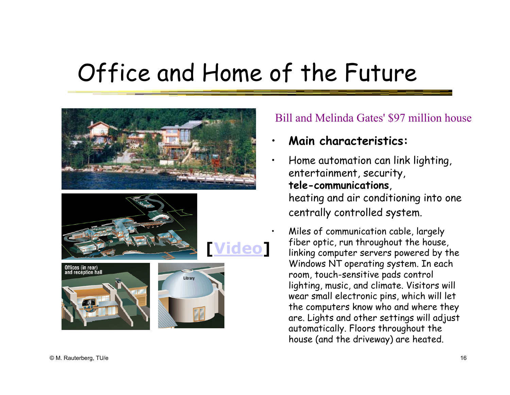# Office and Home of the Future

•

•







Library





#### Bill and Melinda Gates' \$97 million house

- •**Main characteristics:**
- Home automation can link lighting, entertainment, security, **tele-communications**, heating and air conditioning into one centrally controlled system.

 Miles of communication cable, largely fiber optic, run throughout the house, linking computer servers powered by the Windows NT operating system. In each room, touch-sensitive pads control lighting, music, and climate. Visitors will wear small electronic pins, which will let the computers know who and where they are. Lights and other settings will adjust automatically. Floors throughout the house (and the driveway) are heated.